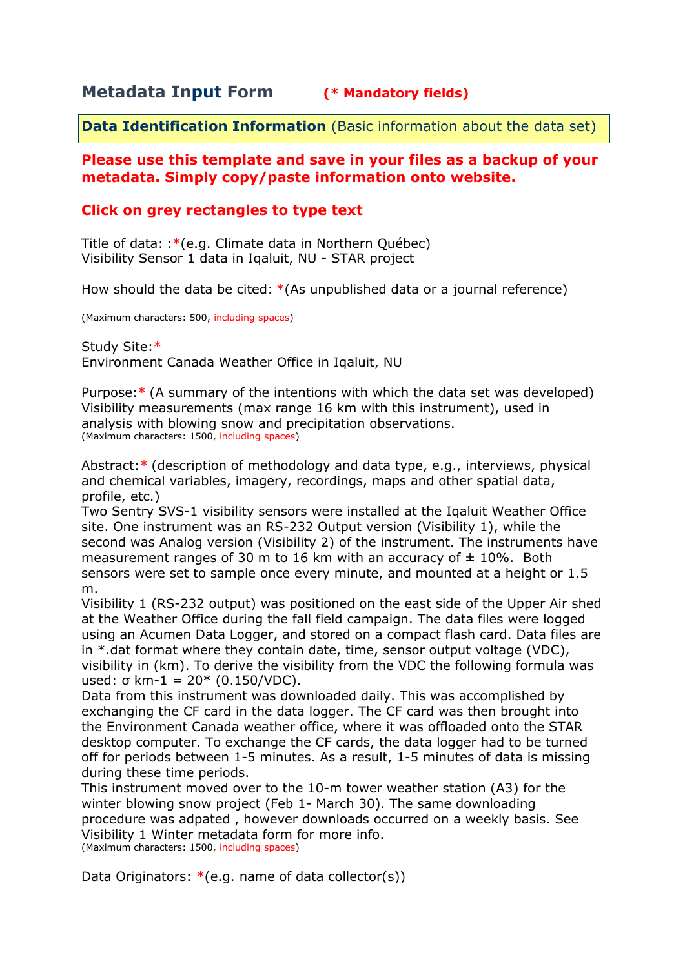# **Metadata Input Form (\* Mandatory fields)**

**Data Identification Information** (Basic information about the data set)

### **Please use this template and save in your files as a backup of your metadata. Simply copy/paste information onto website.**

## **Click on grey rectangles to type text**

Title of data: :\*(e.g. Climate data in Northern Québec) Visibility Sensor 1 data in Iqaluit, NU - STAR project

How should the data be cited: \*(As unpublished data or a journal reference)

(Maximum characters: 500, including spaces)

Study Site:\* Environment Canada Weather Office in Iqaluit, NU

Purpose:\* (A summary of the intentions with which the data set was developed) Visibility measurements (max range 16 km with this instrument), used in analysis with blowing snow and precipitation observations. (Maximum characters: 1500, including spaces)

Abstract:\* (description of methodology and data type, e.g., interviews, physical and chemical variables, imagery, recordings, maps and other spatial data, profile, etc.)

Two Sentry SVS-1 visibility sensors were installed at the Iqaluit Weather Office site. One instrument was an RS-232 Output version (Visibility 1), while the second was Analog version (Visibility 2) of the instrument. The instruments have measurement ranges of 30 m to 16 km with an accuracy of  $\pm$  10%. Both sensors were set to sample once every minute, and mounted at a height or 1.5 m.

Visibility 1 (RS-232 output) was positioned on the east side of the Upper Air shed at the Weather Office during the fall field campaign. The data files were logged using an Acumen Data Logger, and stored on a compact flash card. Data files are in \*.dat format where they contain date, time, sensor output voltage (VDC), visibility in (km). To derive the visibility from the VDC the following formula was used: σ km- $1 = 20*(0.150/VDC)$ .

Data from this instrument was downloaded daily. This was accomplished by exchanging the CF card in the data logger. The CF card was then brought into the Environment Canada weather office, where it was offloaded onto the STAR desktop computer. To exchange the CF cards, the data logger had to be turned off for periods between 1-5 minutes. As a result, 1-5 minutes of data is missing during these time periods.

This instrument moved over to the 10-m tower weather station (A3) for the winter blowing snow project (Feb 1- March 30). The same downloading procedure was adpated , however downloads occurred on a weekly basis. See Visibility 1 Winter metadata form for more info. (Maximum characters: 1500, including spaces)

Data Originators:  $*(e.q.$  name of data collector(s))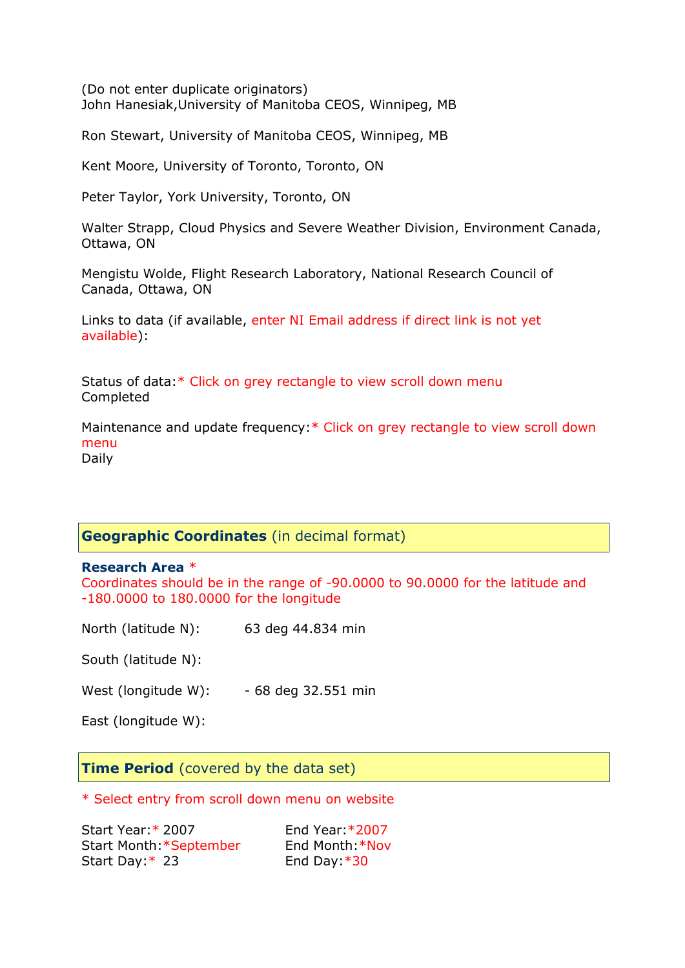(Do not enter duplicate originators) John Hanesiak,University of Manitoba CEOS, Winnipeg, MB

Ron Stewart, University of Manitoba CEOS, Winnipeg, MB

Kent Moore, University of Toronto, Toronto, ON

Peter Taylor, York University, Toronto, ON

Walter Strapp, Cloud Physics and Severe Weather Division, Environment Canada, Ottawa, ON

Mengistu Wolde, Flight Research Laboratory, National Research Council of Canada, Ottawa, ON

Links to data (if available, enter NI Email address if direct link is not yet available):

Status of data:\* Click on grey rectangle to view scroll down menu Completed

Maintenance and update frequency:\* Click on grey rectangle to view scroll down menu Daily

# **Geographic Coordinates** (in decimal format)

#### **Research Area** \*

Coordinates should be in the range of -90.0000 to 90.0000 for the latitude and -180.0000 to 180.0000 for the longitude

North (latitude N): 63 deg 44.834 min

South (latitude N):

West (longitude W): - 68 deg 32.551 min

East (longitude W):

**Time Period** (covered by the data set)

\* Select entry from scroll down menu on website

Start Year:\* 2007 End Year:\*2007 Start Month:\*September End Month:\*Nov Start Day: \* 23 End Day: \* 30